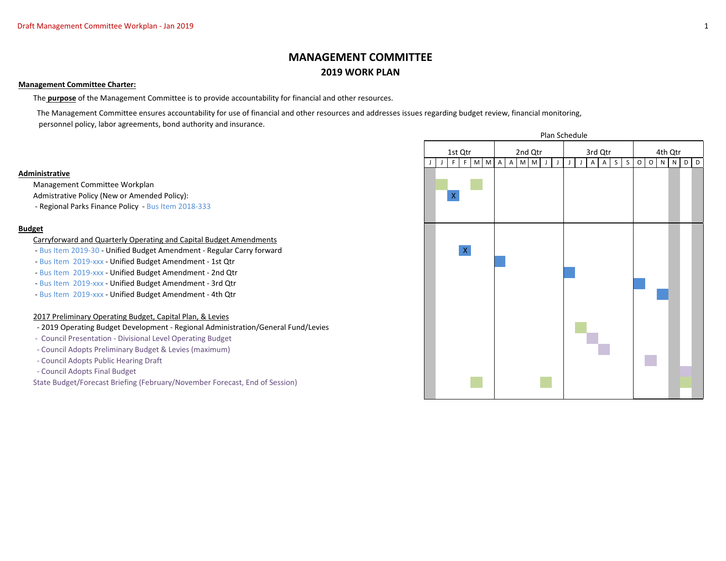# **MANAGEMENT COMMITTEE 2019 WORK PLAN**

#### **Management Committee Charter:**

The **purpose** of the Management Committee is to provide accountability for financial and other resources.

 The Management Committee ensures accountability for use of financial and other resources and addresses issues regarding budget review, financial monitoring, personnel policy, labor agreements, bond authority and insurance.

#### **Administrative**

Management Committee Workplan

Admistrative Policy (New or Amended Policy):

- Regional Parks Finance Policy - Bus Item 2018-333

# **Budget**

#### Carryforward and Quarterly Operating and Capital Budget Amendments

- Bus Item 2019-30 Unified Budget Amendment Regular Carry forward X
- Bus Item 2019-xxx Unified Budget Amendment 1st Qtr
- Bus Item 2019-xxx Unified Budget Amendment 2nd Qtr
- Bus Item 2019-xxx Unified Budget Amendment 3rd Qtr
- Bus Item 2019-xxx Unified Budget Amendment 4th Qtr

# 2017 Preliminary Operating Budget, Capital Plan, & Levies

- 2019 Operating Budget Development Regional Administration/General Fund/Levies
- Council Presentation Divisional Level Operating Budget
- Council Adopts Preliminary Budget & Levies (maximum)
- Council Adopts Public Hearing Draft
- Council Adopts Final Budget

State Budget/Forecast Briefing (February/November Forecast, End of Session)

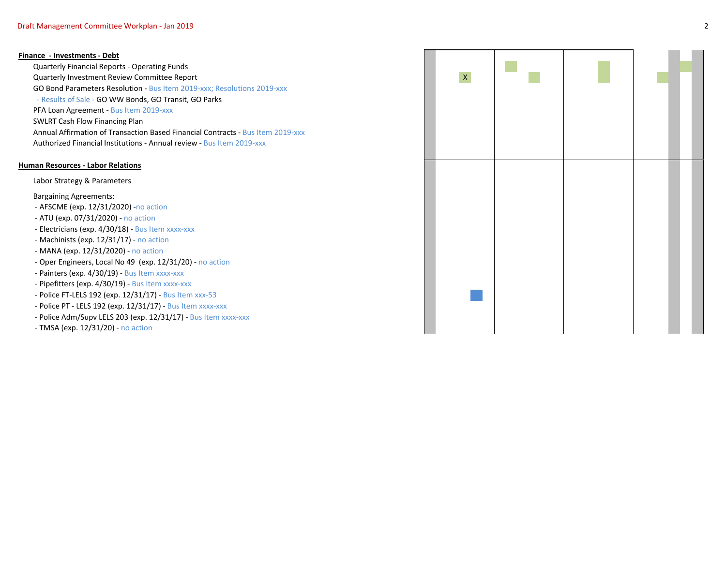#### **Finance - Investments - Debt**

Quarterly Financial Reports - Operating Funds Quarterly Investment Review Committee Report GO Bond Parameters Resolution - Bus Item 2019-xxx; Resolutions 2019-xxx - Results of Sale - GO WW Bonds, GO Transit, GO Parks PFA Loan Agreement - Bus Item 2019-xxx SWLRT Cash Flow Financing Plan Annual Affirmation of Transaction Based Financial Contracts - Bus Item 2019-xxx Authorized Financial Institutions - Annual review - Bus Item 2019-xxx

## **Human Resources - Labor Relations**

Labor Strategy & Parameters

Bargaining Agreements:

- AFSCME (exp. 12/31/2020) -no action
- ATU (exp. 07/31/2020) no action
- Electricians (exp. 4/30/18) Bus Item xxxx-xxx
- Machinists (exp. 12/31/17) no action
- MANA (exp. 12/31/2020) no action
- Oper Engineers, Local No 49 (exp. 12/31/20) no action
- Painters (exp. 4/30/19) Bus Item xxxx-xxx
- Pipefitters (exp. 4/30/19) Bus Item xxxx-xxx
- Police FT-LELS 192 (exp. 12/31/17) Bus Item xxx-53
- Police PT LELS 192 (exp. 12/31/17) Bus Item xxxx-xxx
- Police Adm/Supv LELS 203 (exp. 12/31/17) Bus Item xxxx-xxx
- TMSA (exp. 12/31/20) no action

| $\bar{\mathsf{X}}$ |  |  |
|--------------------|--|--|
|                    |  |  |
|                    |  |  |
|                    |  |  |
|                    |  |  |